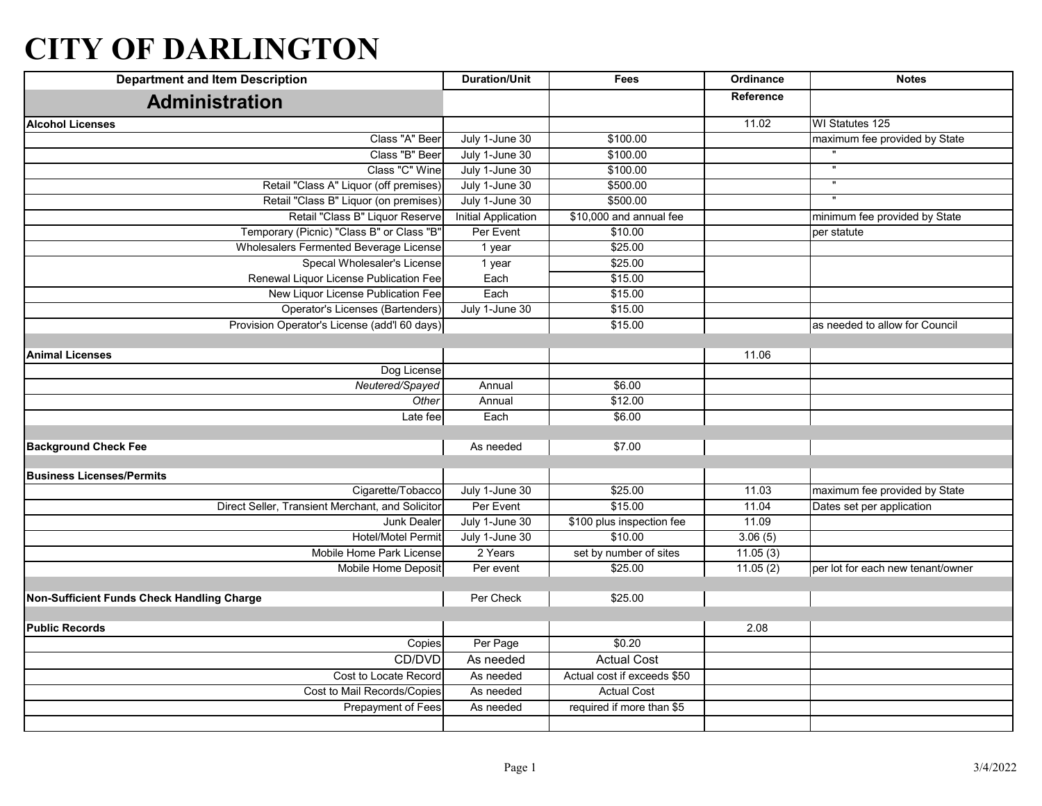## **CITY OF DARLINGTON**

| <b>Department and Item Description</b>               | <b>Duration/Unit</b>       | <b>Fees</b>                 | Ordinance | <b>Notes</b>                      |
|------------------------------------------------------|----------------------------|-----------------------------|-----------|-----------------------------------|
| <b>Administration</b>                                |                            |                             | Reference |                                   |
| <b>Alcohol Licenses</b>                              |                            |                             | 11.02     | WI Statutes 125                   |
| Class "A" Beer                                       | July 1-June 30             | \$100.00                    |           | maximum fee provided by State     |
| Class "B" Beer                                       | July 1-June 30             | \$100.00                    |           |                                   |
| Class "C" Wine                                       | July 1-June 30             | \$100.00                    |           | $\mathbf{u}$                      |
| Retail "Class A" Liquor (off premises)               | July 1-June 30             | \$500.00                    |           | $\overline{\mathbf{u}}$           |
| Retail "Class B" Liquor (on premises)                | July 1-June 30             | \$500.00                    |           |                                   |
| Retail "Class B" Liquor Reserve                      | <b>Initial Application</b> | \$10,000 and annual fee     |           | minimum fee provided by State     |
| Temporary (Picnic) "Class B" or Class "B"            | Per Event                  | \$10.00                     |           | per statute                       |
| Wholesalers Fermented Beverage License               | 1 year                     | \$25.00                     |           |                                   |
| Specal Wholesaler's License                          | 1 year                     | \$25.00                     |           |                                   |
| Renewal Liquor License Publication Fee               | Each                       | \$15.00                     |           |                                   |
| New Liquor License Publication Fee                   | Each                       | \$15.00                     |           |                                   |
| Operator's Licenses (Bartenders)                     | July 1-June 30             | \$15.00                     |           |                                   |
| Provision Operator's License (add'l 60 days)         |                            | \$15.00                     |           | as needed to allow for Council    |
|                                                      |                            |                             |           |                                   |
| <b>Animal Licenses</b>                               |                            |                             | 11.06     |                                   |
| Dog License                                          |                            |                             |           |                                   |
| Neutered/Spayed                                      | Annual                     | \$6.00                      |           |                                   |
| Other                                                | Annual                     | \$12.00                     |           |                                   |
| Late fee                                             | Each                       | \$6.00                      |           |                                   |
|                                                      |                            |                             |           |                                   |
| <b>Background Check Fee</b>                          | As needed                  | \$7.00                      |           |                                   |
|                                                      |                            |                             |           |                                   |
| <b>Business Licenses/Permits</b>                     |                            |                             |           |                                   |
| Cigarette/Tobacco                                    | July 1-June 30             | \$25.00<br>\$15.00          | 11.03     | maximum fee provided by State     |
| Direct Seller, Transient Merchant, and Solicitor     | Per Event                  |                             | 11.04     | Dates set per application         |
| <b>Junk Dealer</b>                                   | July 1-June 30             | \$100 plus inspection fee   | 11.09     |                                   |
| <b>Hotel/Motel Permit</b>                            | July 1-June 30             | \$10.00                     | 3.06(5)   |                                   |
| Mobile Home Park License                             | 2 Years                    | set by number of sites      | 11.05(3)  |                                   |
| Mobile Home Deposit                                  | Per event                  | \$25.00                     | 11.05(2)  | per lot for each new tenant/owner |
|                                                      |                            |                             |           |                                   |
| Non-Sufficient Funds Check Handling Charge           | Per Check                  | \$25.00                     |           |                                   |
| <b>Public Records</b>                                |                            |                             | 2.08      |                                   |
| Copies                                               | Per Page                   | \$0.20                      |           |                                   |
| CD/DVD                                               | As needed                  | <b>Actual Cost</b>          |           |                                   |
|                                                      | As needed                  | Actual cost if exceeds \$50 |           |                                   |
| Cost to Locate Record<br>Cost to Mail Records/Copies | As needed                  | <b>Actual Cost</b>          |           |                                   |
|                                                      |                            |                             |           |                                   |
| <b>Prepayment of Fees</b>                            | As needed                  | required if more than \$5   |           |                                   |
|                                                      |                            |                             |           |                                   |